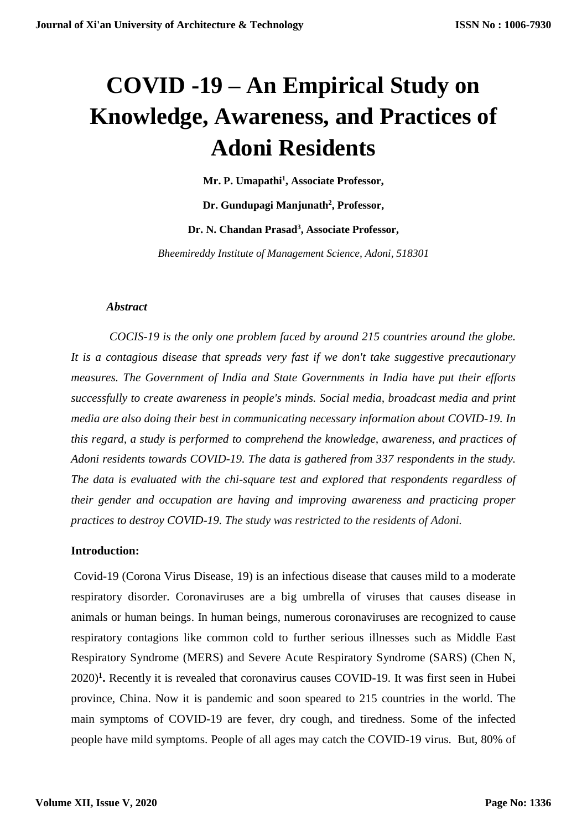# **COVID -19 – An Empirical Study on Knowledge, Awareness, and Practices of Adoni Residents**

**Mr. P. Umapathi<sup>1</sup> , Associate Professor,** 

**Dr. Gundupagi Manjunath<sup>2</sup> , Professor,** 

**Dr. N. Chandan Prasad<sup>3</sup> , Associate Professor,** 

*Bheemireddy Institute of Management Science, Adoni, 518301*

#### *Abstract*

*COCIS-19 is the only one problem faced by around 215 countries around the globe. It is a contagious disease that spreads very fast if we don't take suggestive precautionary measures. The Government of India and State Governments in India have put their efforts successfully to create awareness in people's minds. Social media, broadcast media and print media are also doing their best in communicating necessary information about COVID-19. In this regard, a study is performed to comprehend the knowledge, awareness, and practices of Adoni residents towards COVID-19. The data is gathered from 337 respondents in the study. The data is evaluated with the chi-square test and explored that respondents regardless of their gender and occupation are having and improving awareness and practicing proper practices to destroy COVID-19. The study was restricted to the residents of Adoni.*

#### **Introduction:**

Covid-19 (Corona Virus Disease, 19) is an infectious disease that causes mild to a moderate respiratory disorder. Coronaviruses are a big umbrella of viruses that causes disease in animals or human beings. In human beings, numerous coronaviruses are recognized to cause respiratory contagions like common cold to further serious illnesses such as Middle East Respiratory Syndrome (MERS) and Severe Acute Respiratory Syndrome (SARS) (Chen N, 2020)**<sup>1</sup> .** Recently it is revealed that coronavirus causes COVID-19. It was first seen in Hubei province, China. Now it is pandemic and soon speared to 215 countries in the world. The main symptoms of COVID-19 are fever, dry cough, and tiredness. Some of the infected people have mild symptoms. People of all ages may catch the COVID-19 virus. But, 80% of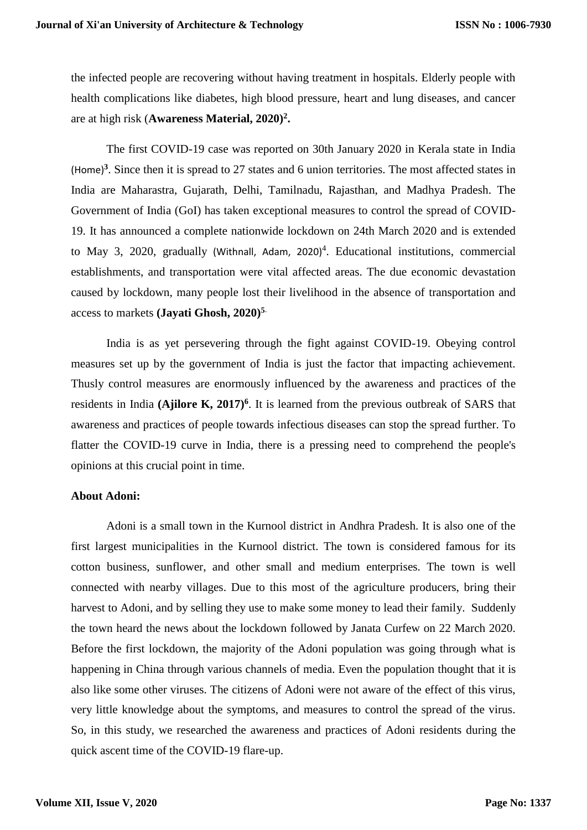the infected people are recovering without having treatment in hospitals. Elderly people with health complications like diabetes, high blood pressure, heart and lung diseases, and cancer are at high risk (**Awareness Material, 2020)<sup>2</sup> .**

The first COVID-19 case was reported on 30th January 2020 in Kerala state in India (Home)**<sup>3</sup>** . Since then it is spread to 27 states and 6 union territories. The most affected states in India are Maharastra, Gujarath, Delhi, Tamilnadu, Rajasthan, and Madhya Pradesh. The Government of India (GoI) has taken exceptional measures to control the spread of COVID-19. It has announced a complete nationwide lockdown on 24th March 2020 and is extended to May 3, 2020, gradually (Withnall, Adam, 2020)<sup>4</sup>. Educational institutions, commercial establishments, and transportation were vital affected areas. The due economic devastation caused by lockdown, many people lost their livelihood in the absence of transportation and access to markets **(Jayati Ghosh, 2020)<sup>5</sup>**.

India is as yet persevering through the fight against COVID-19. Obeying control measures set up by the government of India is just the factor that impacting achievement. Thusly control measures are enormously influenced by the awareness and practices of the residents in India (Ajilore K, 2017)<sup>6</sup>. It is learned from the previous outbreak of SARS that awareness and practices of people towards infectious diseases can stop the spread further. To flatter the COVID-19 curve in India, there is a pressing need to comprehend the people's opinions at this crucial point in time.

#### **About Adoni:**

Adoni is a small town in the Kurnool district in Andhra Pradesh. It is also one of the first largest municipalities in the Kurnool district. The town is considered famous for its cotton business, sunflower, and other small and medium enterprises. The town is well connected with nearby villages. Due to this most of the agriculture producers, bring their harvest to Adoni, and by selling they use to make some money to lead their family. Suddenly the town heard the news about the lockdown followed by Janata Curfew on 22 March 2020. Before the first lockdown, the majority of the Adoni population was going through what is happening in China through various channels of media. Even the population thought that it is also like some other viruses. The citizens of Adoni were not aware of the effect of this virus, very little knowledge about the symptoms, and measures to control the spread of the virus. So, in this study, we researched the awareness and practices of Adoni residents during the quick ascent time of the COVID-19 flare-up.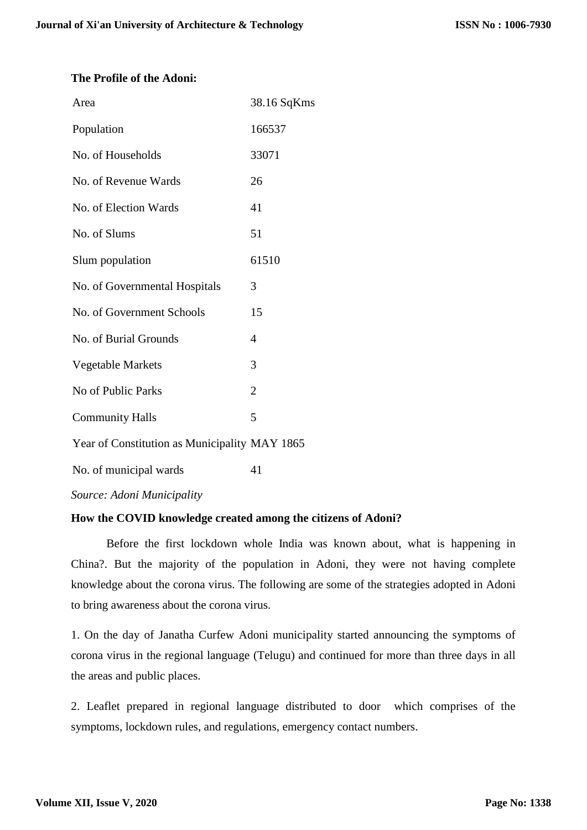#### **The Profile of the Adoni:**

| Area                                          | 38.16 SqKms    |
|-----------------------------------------------|----------------|
| Population                                    | 166537         |
| No. of Households                             | 33071          |
| No. of Revenue Wards                          | 26             |
| No. of Election Wards                         | 41             |
| No. of Slums                                  | 51             |
| Slum population                               | 61510          |
| No. of Governmental Hospitals                 | 3              |
| No. of Government Schools                     | 15             |
| No. of Burial Grounds                         | 4              |
| Vegetable Markets                             | 3              |
| No of Public Parks                            | $\overline{2}$ |
| <b>Community Halls</b>                        | 5              |
| Year of Constitution as Municipality MAY 1865 |                |
| No. of municipal wards                        | 41             |
| Source: Adoni Municipality                    |                |

#### **How the COVID knowledge created among the citizens of Adoni?**

Before the first lockdown whole India was known about, what is happening in China?. But the majority of the population in Adoni, they were not having complete knowledge about the corona virus. The following are some of the strategies adopted in Adoni to bring awareness about the corona virus.

1. On the day of Janatha Curfew Adoni municipality started announcing the symptoms of corona virus in the regional language (Telugu) and continued for more than three days in all the areas and public places.

2. Leaflet prepared in regional language distributed to door which comprises of the symptoms, lockdown rules, and regulations, emergency contact numbers.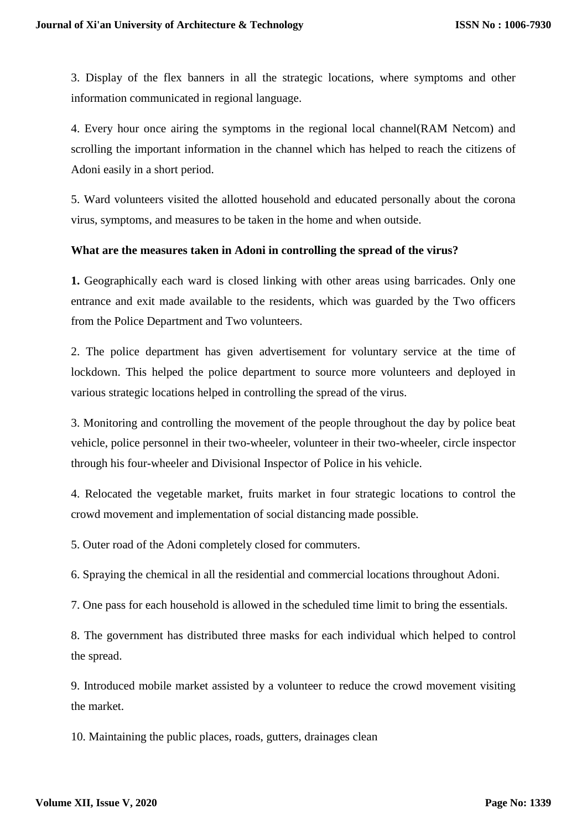3. Display of the flex banners in all the strategic locations, where symptoms and other information communicated in regional language.

4. Every hour once airing the symptoms in the regional local channel(RAM Netcom) and scrolling the important information in the channel which has helped to reach the citizens of Adoni easily in a short period.

5. Ward volunteers visited the allotted household and educated personally about the corona virus, symptoms, and measures to be taken in the home and when outside.

#### **What are the measures taken in Adoni in controlling the spread of the virus?**

**1.** Geographically each ward is closed linking with other areas using barricades. Only one entrance and exit made available to the residents, which was guarded by the Two officers from the Police Department and Two volunteers.

2. The police department has given advertisement for voluntary service at the time of lockdown. This helped the police department to source more volunteers and deployed in various strategic locations helped in controlling the spread of the virus.

3. Monitoring and controlling the movement of the people throughout the day by police beat vehicle, police personnel in their two-wheeler, volunteer in their two-wheeler, circle inspector through his four-wheeler and Divisional Inspector of Police in his vehicle.

4. Relocated the vegetable market, fruits market in four strategic locations to control the crowd movement and implementation of social distancing made possible.

5. Outer road of the Adoni completely closed for commuters.

6. Spraying the chemical in all the residential and commercial locations throughout Adoni.

7. One pass for each household is allowed in the scheduled time limit to bring the essentials.

8. The government has distributed three masks for each individual which helped to control the spread.

9. Introduced mobile market assisted by a volunteer to reduce the crowd movement visiting the market.

10. Maintaining the public places, roads, gutters, drainages clean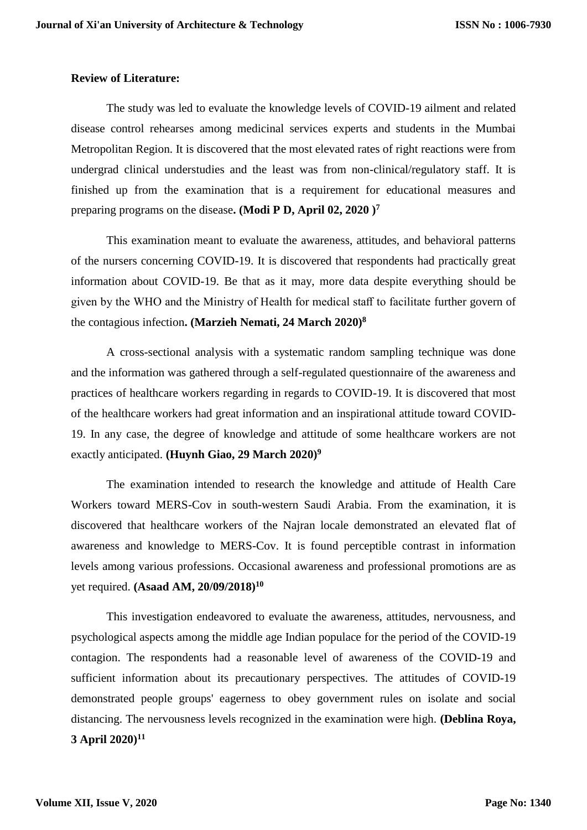#### **Review of Literature:**

The study was led to evaluate the knowledge levels of COVID-19 ailment and related disease control rehearses among medicinal services experts and students in the Mumbai Metropolitan Region. It is discovered that the most elevated rates of right reactions were from undergrad clinical understudies and the least was from non-clinical/regulatory staff. It is finished up from the examination that is a requirement for educational measures and preparing programs on the disease**. (Modi P D, April 02, 2020 )<sup>7</sup>**

This examination meant to evaluate the awareness, attitudes, and behavioral patterns of the nursers concerning COVID-19. It is discovered that respondents had practically great information about COVID-19. Be that as it may, more data despite everything should be given by the WHO and the Ministry of Health for medical staff to facilitate further govern of the contagious infection**. (Marzieh Nemati, 24 March 2020)<sup>8</sup>**

A cross-sectional analysis with a systematic random sampling technique was done and the information was gathered through a self-regulated questionnaire of the awareness and practices of healthcare workers regarding in regards to COVID-19. It is discovered that most of the healthcare workers had great information and an inspirational attitude toward COVID-19. In any case, the degree of knowledge and attitude of some healthcare workers are not exactly anticipated. **(Huynh Giao, 29 March 2020)<sup>9</sup>**

The examination intended to research the knowledge and attitude of Health Care Workers toward MERS-Cov in south-western Saudi Arabia. From the examination, it is discovered that healthcare workers of the Najran locale demonstrated an elevated flat of awareness and knowledge to MERS-Cov. It is found perceptible contrast in information levels among various professions. Occasional awareness and professional promotions are as yet required. **(Asaad AM, 20/09/2018)<sup>10</sup>**

This investigation endeavored to evaluate the awareness, attitudes, nervousness, and psychological aspects among the middle age Indian populace for the period of the COVID-19 contagion. The respondents had a reasonable level of awareness of the COVID-19 and sufficient information about its precautionary perspectives. The attitudes of COVID-19 demonstrated people groups' eagerness to obey government rules on isolate and social distancing. The nervousness levels recognized in the examination were high. **(Deblina Roya, 3 April 2020)<sup>11</sup>**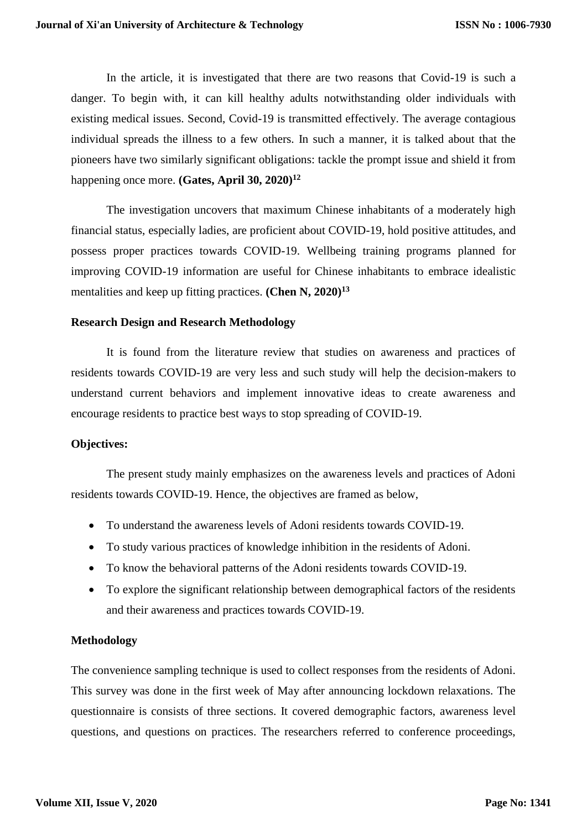In the article, it is investigated that there are two reasons that Covid-19 is such a danger. To begin with, it can kill healthy adults notwithstanding older individuals with existing medical issues. Second, Covid-19 is transmitted effectively. The average contagious individual spreads the illness to a few others. In such a manner, it is talked about that the pioneers have two similarly significant obligations: tackle the prompt issue and shield it from happening once more. **(Gates, April 30, 2020)<sup>12</sup>**

The investigation uncovers that maximum Chinese inhabitants of a moderately high financial status, especially ladies, are proficient about COVID-19, hold positive attitudes, and possess proper practices towards COVID-19. Wellbeing training programs planned for improving COVID-19 information are useful for Chinese inhabitants to embrace idealistic mentalities and keep up fitting practices. **(Chen N, 2020)<sup>13</sup>**

#### **Research Design and Research Methodology**

It is found from the literature review that studies on awareness and practices of residents towards COVID-19 are very less and such study will help the decision-makers to understand current behaviors and implement innovative ideas to create awareness and encourage residents to practice best ways to stop spreading of COVID-19.

#### **Objectives:**

The present study mainly emphasizes on the awareness levels and practices of Adoni residents towards COVID-19. Hence, the objectives are framed as below,

- To understand the awareness levels of Adoni residents towards COVID-19.
- To study various practices of knowledge inhibition in the residents of Adoni.
- To know the behavioral patterns of the Adoni residents towards COVID-19.
- To explore the significant relationship between demographical factors of the residents and their awareness and practices towards COVID-19.

#### **Methodology**

The convenience sampling technique is used to collect responses from the residents of Adoni. This survey was done in the first week of May after announcing lockdown relaxations. The questionnaire is consists of three sections. It covered demographic factors, awareness level questions, and questions on practices. The researchers referred to conference proceedings,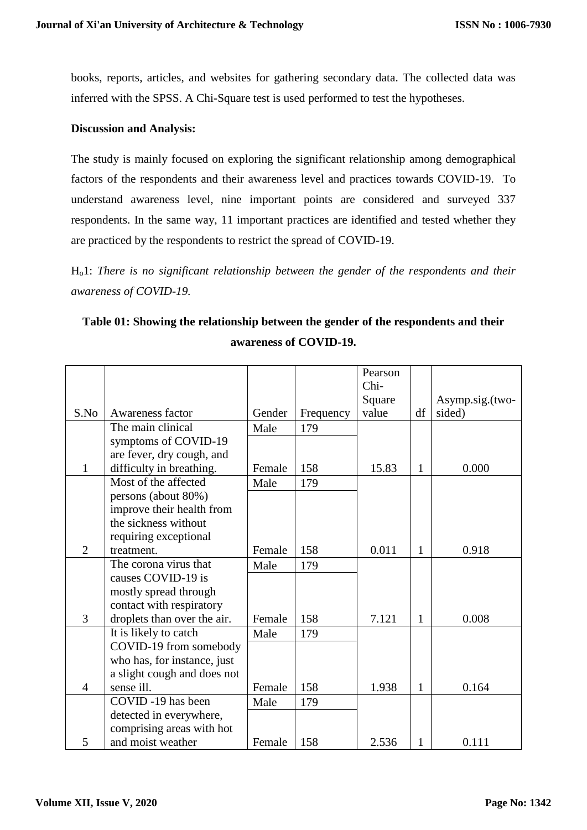books, reports, articles, and websites for gathering secondary data. The collected data was inferred with the SPSS. A Chi-Square test is used performed to test the hypotheses.

#### **Discussion and Analysis:**

The study is mainly focused on exploring the significant relationship among demographical factors of the respondents and their awareness level and practices towards COVID-19. To understand awareness level, nine important points are considered and surveyed 337 respondents. In the same way, 11 important practices are identified and tested whether they are practiced by the respondents to restrict the spread of COVID-19.

Ho1: *There is no significant relationship between the gender of the respondents and their awareness of COVID-19.*

## **Table 01: Showing the relationship between the gender of the respondents and their awareness of COVID-19.**

|                |                             |        |           | Pearson |              |                 |
|----------------|-----------------------------|--------|-----------|---------|--------------|-----------------|
|                |                             |        |           | Chi-    |              |                 |
|                |                             |        |           | Square  |              | Asymp.sig.(two- |
| S.No           | Awareness factor            | Gender | Frequency | value   | df           | sided)          |
|                | The main clinical           | Male   | 179       |         |              |                 |
|                | symptoms of COVID-19        |        |           |         |              |                 |
|                | are fever, dry cough, and   |        |           |         |              |                 |
| $\mathbf{1}$   | difficulty in breathing.    | Female | 158       | 15.83   | $\mathbf{1}$ | 0.000           |
|                | Most of the affected        | Male   | 179       |         |              |                 |
|                | persons (about 80%)         |        |           |         |              |                 |
|                | improve their health from   |        |           |         |              |                 |
|                | the sickness without        |        |           |         |              |                 |
|                | requiring exceptional       |        |           |         |              |                 |
| $\overline{2}$ | treatment.                  | Female | 158       | 0.011   | $\mathbf{1}$ | 0.918           |
|                | The corona virus that       | Male   | 179       |         |              |                 |
|                | causes COVID-19 is          |        |           |         |              |                 |
|                | mostly spread through       |        |           |         |              |                 |
|                | contact with respiratory    |        |           |         |              |                 |
| 3              | droplets than over the air. | Female | 158       | 7.121   | $\mathbf{1}$ | 0.008           |
|                | It is likely to catch       | Male   | 179       |         |              |                 |
|                | COVID-19 from somebody      |        |           |         |              |                 |
|                | who has, for instance, just |        |           |         |              |                 |
|                | a slight cough and does not |        |           |         |              |                 |
| $\overline{4}$ | sense ill.                  | Female | 158       | 1.938   | $\mathbf{1}$ | 0.164           |
|                | COVID -19 has been          | Male   | 179       |         |              |                 |
|                | detected in everywhere,     |        |           |         |              |                 |
|                | comprising areas with hot   |        |           |         |              |                 |
| 5              | and moist weather           | Female | 158       | 2.536   | 1            | 0.111           |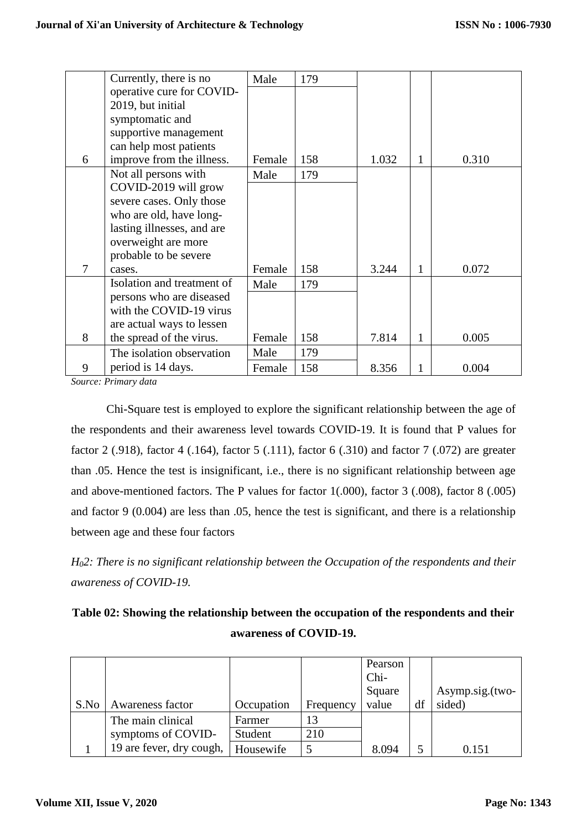|   | Currently, there is no     | Male   | 179 |       |              |       |
|---|----------------------------|--------|-----|-------|--------------|-------|
|   | operative cure for COVID-  |        |     |       |              |       |
|   | 2019, but initial          |        |     |       |              |       |
|   | symptomatic and            |        |     |       |              |       |
|   | supportive management      |        |     |       |              |       |
|   | can help most patients     |        |     |       |              |       |
| 6 | improve from the illness.  | Female | 158 | 1.032 | 1            | 0.310 |
|   | Not all persons with       | Male   | 179 |       |              |       |
|   | COVID-2019 will grow       |        |     |       |              |       |
|   | severe cases. Only those   |        |     |       |              |       |
|   | who are old, have long-    |        |     |       |              |       |
|   | lasting illnesses, and are |        |     |       |              |       |
|   | overweight are more        |        |     |       |              |       |
|   | probable to be severe      |        |     |       |              |       |
| 7 | cases.                     | Female | 158 | 3.244 | 1            | 0.072 |
|   | Isolation and treatment of | Male   | 179 |       |              |       |
|   | persons who are diseased   |        |     |       |              |       |
|   | with the COVID-19 virus    |        |     |       |              |       |
|   | are actual ways to lessen  |        |     |       |              |       |
| 8 | the spread of the virus.   | Female | 158 | 7.814 | $\mathbf{1}$ | 0.005 |
|   | The isolation observation  | Male   | 179 |       |              |       |
| 9 | period is 14 days.         | Female | 158 | 8.356 | 1            | 0.004 |

*Source: Primary data*

Chi-Square test is employed to explore the significant relationship between the age of the respondents and their awareness level towards COVID-19. It is found that P values for factor 2 (.918), factor 4 (.164), factor 5 (.111), factor 6 (.310) and factor 7 (.072) are greater than .05. Hence the test is insignificant, i.e., there is no significant relationship between age and above-mentioned factors. The P values for factor 1(.000), factor 3 (.008), factor 8 (.005) and factor 9 (0.004) are less than .05, hence the test is significant, and there is a relationship between age and these four factors

*H02: There is no significant relationship between the Occupation of the respondents and their awareness of COVID-19.*

| Table 02: Showing the relationship between the occupation of the respondents and their |
|----------------------------------------------------------------------------------------|
| awareness of COVID-19.                                                                 |

| S.No | Awareness factor         | Occupation | Frequency | Pearson<br>Chi-<br>Square<br>value | df | Asymp.sig.(two-<br>sided) |
|------|--------------------------|------------|-----------|------------------------------------|----|---------------------------|
|      | The main clinical        | Farmer     | 13        |                                    |    |                           |
|      | symptoms of COVID-       | Student    | 210       |                                    |    |                           |
|      | 19 are fever, dry cough, | Housewife  |           | 8.094                              |    | 0.151                     |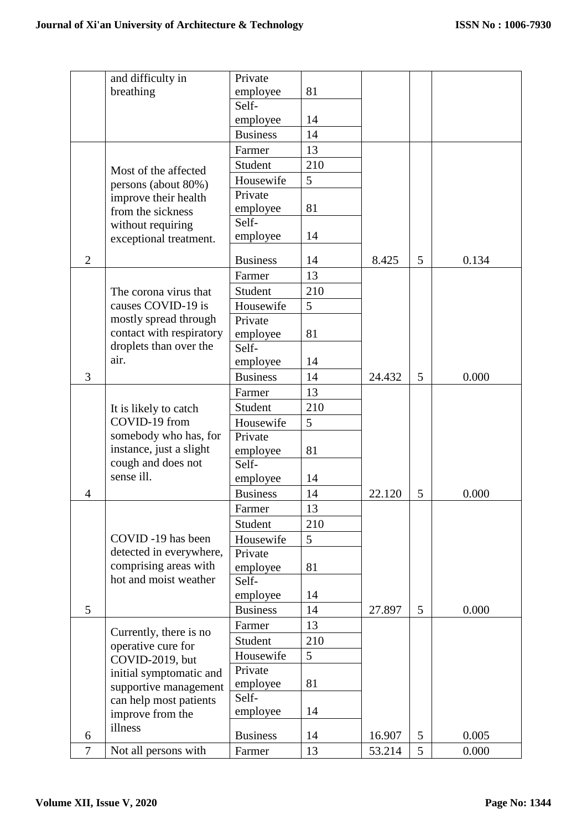|                | and difficulty in        | Private         |     |        |   |       |
|----------------|--------------------------|-----------------|-----|--------|---|-------|
|                | breathing                | employee        | 81  |        |   |       |
|                |                          | Self-           |     |        |   |       |
|                |                          | employee        | 14  |        |   |       |
|                |                          | <b>Business</b> | 14  |        |   |       |
|                |                          | Farmer          | 13  |        |   |       |
|                | Most of the affected     | Student         | 210 |        |   |       |
|                | persons (about 80%)      | Housewife       | 5   |        |   |       |
|                | improve their health     | Private         |     |        |   |       |
|                | from the sickness        | employee        | 81  |        |   |       |
|                | without requiring        | Self-           |     |        |   |       |
|                | exceptional treatment.   | employee        | 14  |        |   |       |
| $\overline{2}$ |                          | <b>Business</b> | 14  | 8.425  | 5 | 0.134 |
|                |                          | Farmer          | 13  |        |   |       |
|                | The corona virus that    | Student         | 210 |        |   |       |
|                | causes COVID-19 is       | Housewife       | 5   |        |   |       |
|                | mostly spread through    | Private         |     |        |   |       |
|                | contact with respiratory | employee        | 81  |        |   |       |
|                | droplets than over the   | Self-           |     |        |   |       |
|                | air.                     | employee        | 14  |        |   |       |
| 3              |                          | <b>Business</b> | 14  | 24.432 | 5 | 0.000 |
|                |                          | Farmer          | 13  |        |   |       |
|                | It is likely to catch    | Student         | 210 |        |   |       |
|                | COVID-19 from            | Housewife       | 5   |        |   |       |
|                | somebody who has, for    | Private         |     |        |   |       |
|                | instance, just a slight  | employee        | 81  |        |   |       |
|                | cough and does not       | Self-           |     |        |   |       |
|                | sense ill.               | employee        | 14  |        |   |       |
| $\overline{4}$ |                          | <b>Business</b> | 14  | 22.120 | 5 | 0.000 |
|                |                          | Farmer          | 13  |        |   |       |
|                |                          | Student         | 210 |        |   |       |
|                | COVID -19 has been       | Housewife       | 5   |        |   |       |
|                | detected in everywhere,  | Private         |     |        |   |       |
|                | comprising areas with    | employee        | 81  |        |   |       |
|                | hot and moist weather    | Self-           |     |        |   |       |
|                |                          | employee        | 14  |        |   |       |
| 5              |                          | <b>Business</b> | 14  | 27.897 | 5 | 0.000 |
|                | Currently, there is no   | Farmer          | 13  |        |   |       |
|                | operative cure for       | Student         | 210 |        |   |       |
|                | COVID-2019, but          | Housewife       | 5   |        |   |       |
|                | initial symptomatic and  | Private         |     |        |   |       |
|                | supportive management    | employee        | 81  |        |   |       |
|                | can help most patients   | Self-           |     |        |   |       |
|                | improve from the         | employee        | 14  |        |   |       |
| 6              | illness                  | <b>Business</b> | 14  | 16.907 | 5 | 0.005 |
| $\overline{7}$ | Not all persons with     | Farmer          | 13  | 53.214 | 5 | 0.000 |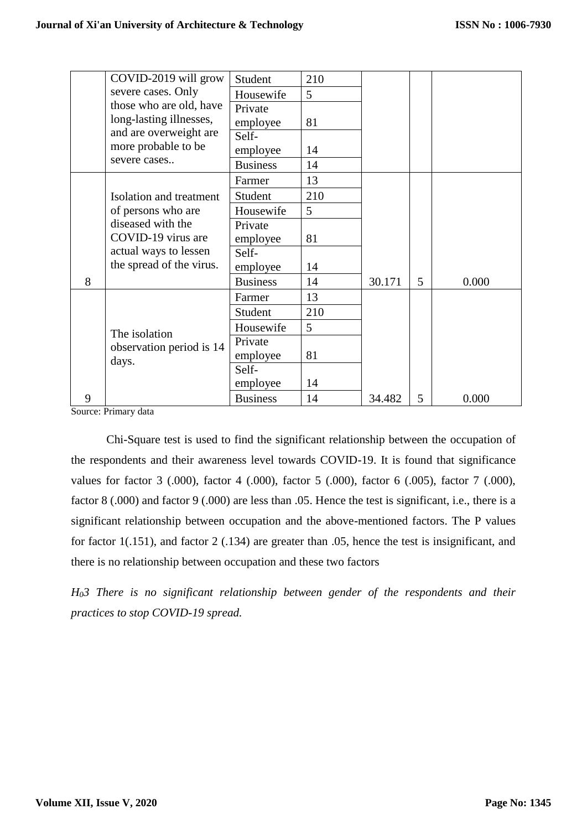|   | COVID-2019 will grow     | Student         | 210 |        |   |       |
|---|--------------------------|-----------------|-----|--------|---|-------|
|   | severe cases. Only       | Housewife       | 5   |        |   |       |
|   | those who are old, have  | Private         |     |        |   |       |
|   | long-lasting illnesses,  | employee        | 81  |        |   |       |
|   | and are overweight are   | Self-           |     |        |   |       |
|   | more probable to be      | employee        | 14  |        |   |       |
|   | severe cases             | <b>Business</b> | 14  |        |   |       |
|   |                          | Farmer          | 13  |        |   |       |
|   | Isolation and treatment  | Student         | 210 |        |   |       |
|   | of persons who are       | Housewife       | 5   |        |   |       |
|   | diseased with the        | Private         |     |        |   |       |
|   | COVID-19 virus are       | employee        | 81  |        |   |       |
|   | actual ways to lessen    | Self-           |     |        |   |       |
|   | the spread of the virus. | employee        | 14  |        |   |       |
| 8 |                          | <b>Business</b> | 14  | 30.171 | 5 | 0.000 |
|   |                          | Farmer          | 13  |        |   |       |
|   |                          | Student         | 210 |        |   |       |
|   | The isolation            | Housewife       | 5   |        |   |       |
|   | observation period is 14 | Private         |     |        |   |       |
|   | days.                    | employee        | 81  |        |   |       |
|   |                          | Self-           |     |        |   |       |
|   |                          | employee        | 14  |        |   |       |
| 9 |                          | <b>Business</b> | 14  | 34.482 | 5 | 0.000 |

Source: Primary data

Chi-Square test is used to find the significant relationship between the occupation of the respondents and their awareness level towards COVID-19. It is found that significance values for factor 3 (.000), factor 4 (.000), factor 5 (.000), factor 6 (.005), factor 7 (.000), factor 8 (.000) and factor 9 (.000) are less than .05. Hence the test is significant, i.e., there is a significant relationship between occupation and the above-mentioned factors. The P values for factor 1(.151), and factor 2 (.134) are greater than .05, hence the test is insignificant, and there is no relationship between occupation and these two factors

*H03 There is no significant relationship between gender of the respondents and their practices to stop COVID-19 spread.*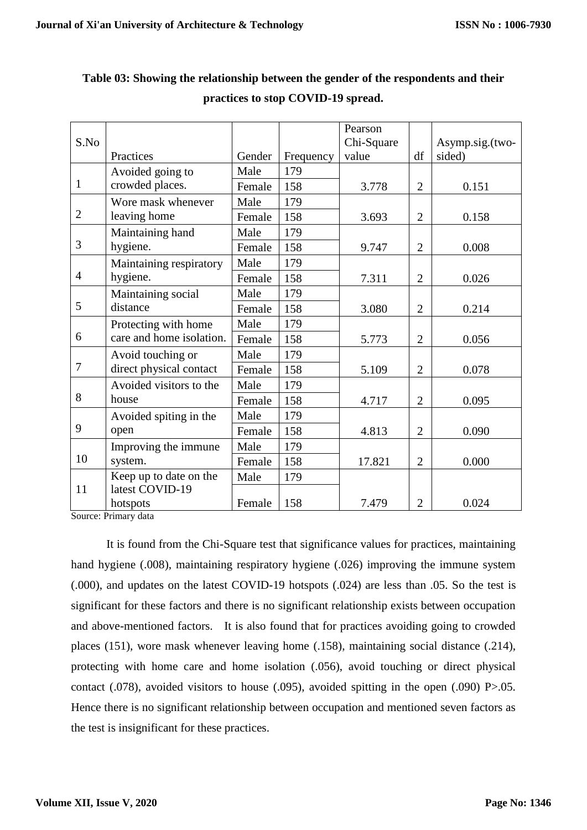| S.No           |                          |        |           | Chi-Square |                | Asymp.sig.(two- |
|----------------|--------------------------|--------|-----------|------------|----------------|-----------------|
|                | Practices                | Gender | Frequency | value      | df             | sided)          |
|                | Avoided going to         | Male   | 179       |            |                |                 |
| 1              | crowded places.          | Female | 158       | 3.778      | $\overline{2}$ | 0.151           |
|                | Wore mask whenever       | Male   | 179       |            |                |                 |
| $\overline{2}$ | leaving home             | Female | 158       | 3.693      | $\overline{2}$ | 0.158           |
|                | Maintaining hand         | Male   | 179       |            |                |                 |
| 3              | hygiene.                 | Female | 158       | 9.747      | $\overline{2}$ | 0.008           |
|                | Maintaining respiratory  | Male   | 179       |            |                |                 |
| $\overline{4}$ | hygiene.                 | Female | 158       | 7.311      | $\overline{2}$ | 0.026           |
|                | Maintaining social       | Male   | 179       |            |                |                 |
| 5              | distance                 | Female | 158       | 3.080      | $\overline{2}$ | 0.214           |
|                | Protecting with home     | Male   | 179       |            |                |                 |
| 6              | care and home isolation. | Female | 158       | 5.773      | $\overline{2}$ | 0.056           |
|                | Avoid touching or        | Male   | 179       |            |                |                 |
| $\overline{7}$ | direct physical contact  | Female | 158       | 5.109      | $\overline{2}$ | 0.078           |
|                | Avoided visitors to the  | Male   | 179       |            |                |                 |
| 8              | house                    | Female | 158       | 4.717      | $\overline{2}$ | 0.095           |
|                | Avoided spiting in the   | Male   | 179       |            |                |                 |
| 9              | open                     | Female | 158       | 4.813      | $\overline{2}$ | 0.090           |
|                | Improving the immune     | Male   | 179       |            |                |                 |
| 10             | system.                  | Female | 158       | 17.821     | $\overline{2}$ | 0.000           |
|                | Keep up to date on the   | Male   | 179       |            |                |                 |
| 11             | latest COVID-19          |        |           |            |                |                 |
|                | hotspots                 | Female | 158       | 7.479      | $\overline{2}$ | 0.024           |

### **Table 03: Showing the relationship between the gender of the respondents and their practices to stop COVID-19 spread.**

Τ

Τ

Pearson

Τ

Source: Primary data

It is found from the Chi-Square test that significance values for practices, maintaining hand hygiene (.008), maintaining respiratory hygiene (.026) improving the immune system (.000), and updates on the latest COVID-19 hotspots (.024) are less than .05. So the test is significant for these factors and there is no significant relationship exists between occupation and above-mentioned factors. It is also found that for practices avoiding going to crowded places (151), wore mask whenever leaving home (.158), maintaining social distance (.214), protecting with home care and home isolation (.056), avoid touching or direct physical contact (.078), avoided visitors to house (.095), avoided spitting in the open (.090) P>.05. Hence there is no significant relationship between occupation and mentioned seven factors as the test is insignificant for these practices.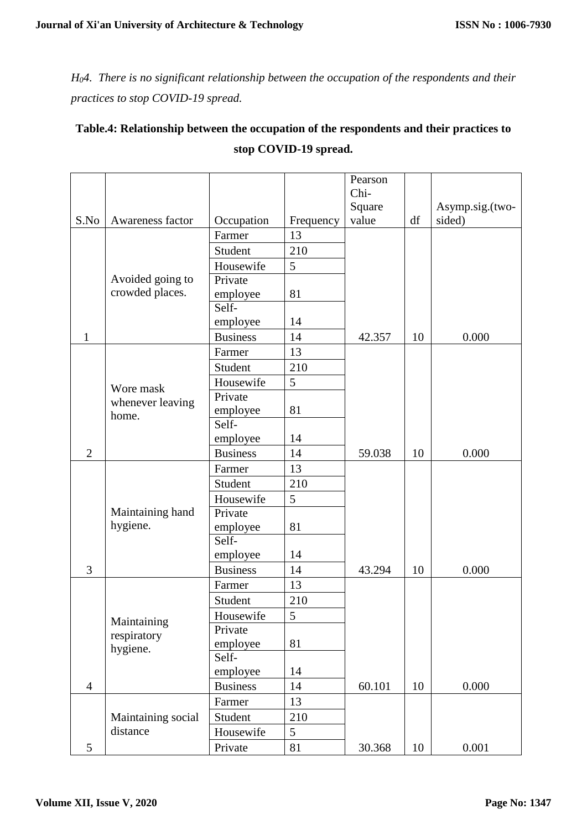*H04. There is no significant relationship between the occupation of the respondents and their practices to stop COVID-19 spread.*

## **Table.4: Relationship between the occupation of the respondents and their practices to stop COVID-19 spread.**

|                |                    |                 |           | Pearson |    |                 |
|----------------|--------------------|-----------------|-----------|---------|----|-----------------|
|                |                    |                 |           | Chi-    |    |                 |
|                |                    |                 |           | Square  |    | Asymp.sig.(two- |
| S.No           | Awareness factor   | Occupation      | Frequency | value   | df | sided)          |
|                |                    | Farmer          | 13        |         |    |                 |
|                |                    | Student         | 210       |         |    |                 |
|                |                    | Housewife       | 5         |         |    |                 |
|                | Avoided going to   | Private         |           |         |    |                 |
|                | crowded places.    | employee        | 81        |         |    |                 |
|                |                    | Self-           |           |         |    |                 |
|                |                    | employee        | 14        |         |    |                 |
| $\mathbf{1}$   |                    | <b>Business</b> | 14        | 42.357  | 10 | 0.000           |
|                |                    | Farmer          | 13        |         |    |                 |
|                |                    | Student         | 210       |         |    |                 |
|                | Wore mask          | Housewife       | 5         |         |    |                 |
|                | whenever leaving   | Private         |           |         |    |                 |
|                | home.              | employee        | 81        |         |    |                 |
|                |                    | Self-           |           |         |    |                 |
|                |                    | employee        | 14        |         |    |                 |
| $\mathfrak{2}$ |                    | <b>Business</b> | 14        | 59.038  | 10 | 0.000           |
|                |                    | Farmer          | 13        |         |    |                 |
|                |                    | Student         | 210       |         |    |                 |
|                |                    | Housewife       | 5         |         |    |                 |
|                | Maintaining hand   | Private         |           |         |    |                 |
|                | hygiene.           | employee        | 81        |         |    |                 |
|                |                    | Self-           |           |         |    |                 |
|                |                    | employee        | 14        |         |    |                 |
| 3              |                    | <b>Business</b> | 14        | 43.294  | 10 | 0.000           |
|                |                    | Farmer          | 13        |         |    |                 |
|                |                    | Student         | 210       |         |    |                 |
|                | Maintaining        | Housewife       | 5         |         |    |                 |
|                | respiratory        | Private         |           |         |    |                 |
|                | hygiene.           | employee        | 81        |         |    |                 |
|                |                    | Self-           |           |         |    |                 |
|                |                    | employee        | 14        |         |    |                 |
| $\overline{4}$ |                    | <b>Business</b> | 14        | 60.101  | 10 | 0.000           |
|                |                    | Farmer          | 13        |         |    |                 |
|                | Maintaining social | Student         | 210       |         |    |                 |
|                | distance           | Housewife       | 5         |         |    |                 |
| 5              |                    | Private         | 81        | 30.368  | 10 | 0.001           |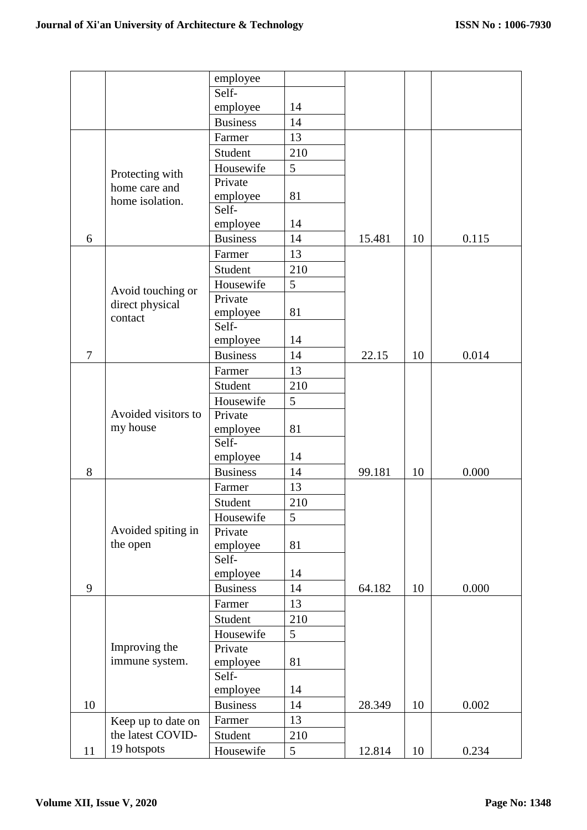|                |                     | employee          |     |        |    |       |
|----------------|---------------------|-------------------|-----|--------|----|-------|
|                |                     | Self-             |     |        |    |       |
|                |                     | employee          | 14  |        |    |       |
|                |                     | <b>Business</b>   | 14  |        |    |       |
|                |                     | Farmer            | 13  |        |    |       |
|                |                     | Student           | 210 |        |    |       |
|                | Protecting with     | Housewife         | 5   |        |    |       |
|                | home care and       | Private           |     |        |    |       |
|                | home isolation.     | employee          | 81  |        |    |       |
|                |                     | Self-             |     |        |    |       |
|                |                     | employee          | 14  |        |    |       |
| 6              |                     | <b>Business</b>   | 14  | 15.481 | 10 | 0.115 |
|                |                     | Farmer            | 13  |        |    |       |
|                |                     | Student           | 210 |        |    |       |
|                | Avoid touching or   | Housewife         | 5   |        |    |       |
|                | direct physical     | Private           |     |        |    |       |
|                | contact             | employee          | 81  |        |    |       |
|                |                     | Self-             |     |        |    |       |
| $\overline{7}$ |                     | employee          | 14  |        |    | 0.014 |
|                |                     | <b>Business</b>   | 14  | 22.15  | 10 |       |
|                |                     | Farmer            | 13  |        |    |       |
|                |                     | Student           | 210 |        |    |       |
|                | Avoided visitors to | Housewife         | 5   |        |    |       |
|                | my house            | Private           | 81  |        |    |       |
|                |                     | employee<br>Self- |     |        |    |       |
|                |                     | employee          | 14  |        |    |       |
| 8              |                     | <b>Business</b>   | 14  | 99.181 | 10 | 0.000 |
|                |                     | Farmer            | 13  |        |    |       |
|                |                     | Student           | 210 |        |    |       |
|                |                     | Housewife         | 5   |        |    |       |
|                | Avoided spiting in  | Private           |     |        |    |       |
|                | the open            | employee          | 81  |        |    |       |
|                |                     | Self-             |     |        |    |       |
|                |                     | employee          | 14  |        |    |       |
| 9              |                     | <b>Business</b>   | 14  | 64.182 | 10 | 0.000 |
|                |                     | Farmer            | 13  |        |    |       |
|                |                     | Student           | 210 |        |    |       |
|                |                     | Housewife         | 5   |        |    |       |
|                | Improving the       | Private           |     |        |    |       |
|                | immune system.      | employee          | 81  |        |    |       |
|                |                     | Self-             |     |        |    |       |
|                |                     | employee          | 14  |        |    |       |
| 10             |                     | <b>Business</b>   | 14  | 28.349 | 10 | 0.002 |
|                | Keep up to date on  | Farmer            | 13  |        |    |       |
|                | the latest COVID-   | Student           | 210 |        |    |       |
| 11             | 19 hotspots         | Housewife         | 5   | 12.814 | 10 | 0.234 |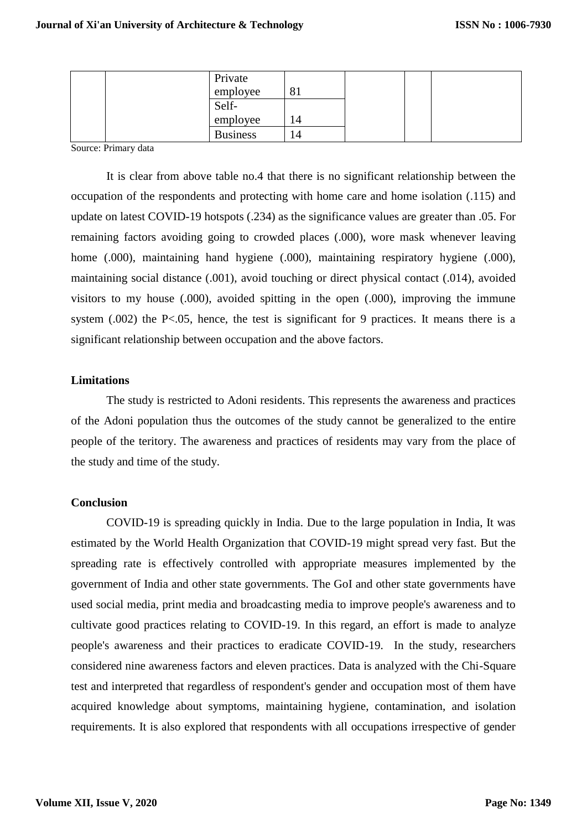| Private         |              |  |  |
|-----------------|--------------|--|--|
| employee        | $\mathbf{o}$ |  |  |
| Self-           |              |  |  |
| employee        | 14           |  |  |
| <b>Business</b> | .4           |  |  |

Source: Primary data

It is clear from above table no.4 that there is no significant relationship between the occupation of the respondents and protecting with home care and home isolation (.115) and update on latest COVID-19 hotspots (.234) as the significance values are greater than .05. For remaining factors avoiding going to crowded places (.000), wore mask whenever leaving home  $(.000)$ , maintaining hand hygiene  $(.000)$ , maintaining respiratory hygiene  $(.000)$ , maintaining social distance (.001), avoid touching or direct physical contact (.014), avoided visitors to my house (.000), avoided spitting in the open (.000), improving the immune system  $(.002)$  the P<.05, hence, the test is significant for 9 practices. It means there is a significant relationship between occupation and the above factors.

#### **Limitations**

The study is restricted to Adoni residents. This represents the awareness and practices of the Adoni population thus the outcomes of the study cannot be generalized to the entire people of the teritory. The awareness and practices of residents may vary from the place of the study and time of the study.

#### **Conclusion**

COVID-19 is spreading quickly in India. Due to the large population in India, It was estimated by the World Health Organization that COVID-19 might spread very fast. But the spreading rate is effectively controlled with appropriate measures implemented by the government of India and other state governments. The GoI and other state governments have used social media, print media and broadcasting media to improve people's awareness and to cultivate good practices relating to COVID-19. In this regard, an effort is made to analyze people's awareness and their practices to eradicate COVID-19. In the study, researchers considered nine awareness factors and eleven practices. Data is analyzed with the Chi-Square test and interpreted that regardless of respondent's gender and occupation most of them have acquired knowledge about symptoms, maintaining hygiene, contamination, and isolation requirements. It is also explored that respondents with all occupations irrespective of gender